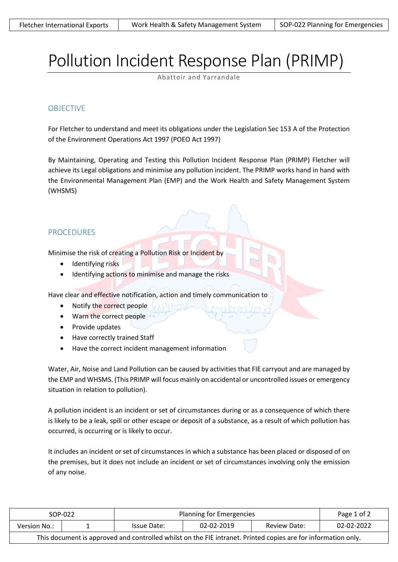# Pollution Incident Response Plan (PRIMP)

Abattoir and Yarrandale

#### OBJECTIVE

For Fletcher to understand and meet its obligations under the Legislation Sec 153 A of the Protection of the Environment Operations Act 1997 (POEO Act 1997)

By Maintaining, Operating and Testing this Pollution Incident Response Plan (PRIMP) Fletcher will achieve its Legal obligations and minimise any pollution incident. The PRIMP works hand in hand with the Environmental Management Plan (EMP) and the Work Health and Safety Management System (WHSMS)

## PROCEDURES

Minimise the risk of creating a Pollution Risk or Incident by

- Identifying risks
- Identifying actions to minimise and manage the risks

Have clear and effective notification, action and timely communication to

- Notify the correct people
- Warn the correct people
- Provide updates
- Have correctly trained Staff
- Have the correct incident management information

Water, Air, Noise and Land Pollution can be caused by activities that FIE carryout and are managed by the EMP and WHSMS. (This PRIMP will focus mainly on accidental or uncontrolled issues or emergency situation in relation to pollution).

A pollution incident is an incident or set of circumstances during or as a consequence of which there is likely to be a leak, spill or other escape or deposit of a substance, as a result of which pollution has occurred, is occurring or is likely to occur.

It includes an incident or set of circumstances in which a substance has been placed or disposed of on the premises, but it does not include an incident or set of circumstances involving only the emission of any noise.

| SOP-022                                                                                                       |  | Planning for Emergencies |            |              | Page 1 of 2 |  |  |  |
|---------------------------------------------------------------------------------------------------------------|--|--------------------------|------------|--------------|-------------|--|--|--|
| Version No.:                                                                                                  |  | Issue Date:              | 02-02-2019 | Review Date: | 02-02-2022  |  |  |  |
| This document is approved and controlled whilst on the FIE intranet. Printed copies are for information only. |  |                          |            |              |             |  |  |  |